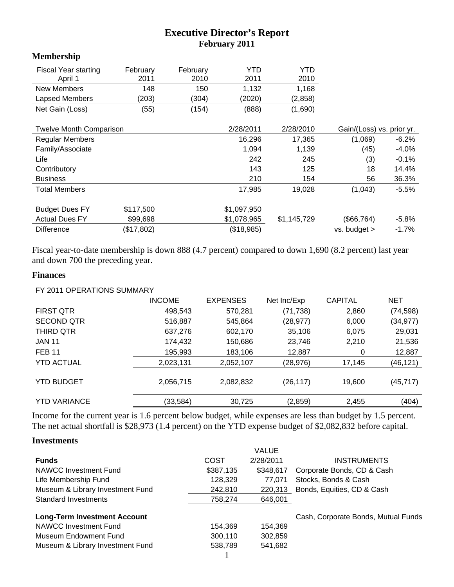# **Executive Director's Report February 2011**

### **Membership**

| <b>Fiscal Year starting</b><br>April 1 | February<br>2011 | February<br>2010 | YTD<br>2011 | YTD<br>2010 |                           |         |
|----------------------------------------|------------------|------------------|-------------|-------------|---------------------------|---------|
| <b>New Members</b>                     | 148              | 150              | 1,132       | 1,168       |                           |         |
| Lapsed Members                         | (203)            | (304)            | (2020)      | (2,858)     |                           |         |
| Net Gain (Loss)                        | (55)             | (154)            | (888)       | (1,690)     |                           |         |
| <b>Twelve Month Comparison</b>         |                  |                  | 2/28/2011   | 2/28/2010   | Gain/(Loss) vs. prior yr. |         |
| <b>Regular Members</b>                 |                  |                  | 16,296      | 17,365      | (1,069)                   | $-6.2%$ |
|                                        |                  |                  |             |             |                           |         |
| Family/Associate                       |                  |                  | 1,094       | 1,139       | (45)                      | $-4.0%$ |
| Life                                   |                  |                  | 242         | 245         | (3)                       | $-0.1%$ |
| Contributory                           |                  |                  | 143         | 125         | 18                        | 14.4%   |
| <b>Business</b>                        |                  |                  | 210         | 154         | 56                        | 36.3%   |
| <b>Total Members</b>                   |                  |                  | 17,985      | 19,028      | (1,043)                   | -5.5%   |
|                                        |                  |                  |             |             |                           |         |
| <b>Budget Dues FY</b>                  | \$117,500        |                  | \$1,097,950 |             |                           |         |
| <b>Actual Dues FY</b>                  | \$99,698         |                  | \$1,078,965 | \$1,145,729 | (\$66,764)                | $-5.8%$ |
| <b>Difference</b>                      | (\$17,802)       |                  | (\$18,985)  |             | $vs.$ budget $>$          | $-1.7%$ |

Fiscal year-to-date membership is down 888 (4.7 percent) compared to down 1,690 (8.2 percent) last year and down 700 the preceding year.

#### **Finances**

FY 2011 OPERATIONS SUMMARY

|                     | <b>INCOME</b> | <b>EXPENSES</b> | Net Inc/Exp | <b>CAPITAL</b> | <b>NET</b> |
|---------------------|---------------|-----------------|-------------|----------------|------------|
| <b>FIRST QTR</b>    | 498,543       | 570,281         | (71, 738)   | 2,860          | (74, 598)  |
| <b>SECOND QTR</b>   | 516,887       | 545,864         | (28, 977)   | 6,000          | (34, 977)  |
| THIRD QTR           | 637,276       | 602,170         | 35,106      | 6,075          | 29,031     |
| <b>JAN 11</b>       | 174,432       | 150,686         | 23,746      | 2,210          | 21,536     |
| <b>FEB 11</b>       | 195,993       | 183,106         | 12,887      | 0              | 12,887     |
| <b>YTD ACTUAL</b>   | 2,023,131     | 2,052,107       | (28, 976)   | 17,145         | (46, 121)  |
| <b>YTD BUDGET</b>   | 2,056,715     | 2,082,832       | (26, 117)   | 19,600         | (45, 717)  |
| <b>YTD VARIANCE</b> | (33,584)      | 30,725          | (2,859)     | 2,455          | (404)      |

Income for the current year is 1.6 percent below budget, while expenses are less than budget by 1.5 percent. The net actual shortfall is \$28,973 (1.4 percent) on the YTD expense budget of \$2,082,832 before capital.

#### **Investments**

|                                     |           | <b>VALUE</b> |                                     |
|-------------------------------------|-----------|--------------|-------------------------------------|
| <b>Funds</b>                        | COST      | 2/28/2011    | <b>INSTRUMENTS</b>                  |
| NAWCC Investment Fund               | \$387,135 | \$348,617    | Corporate Bonds, CD & Cash          |
| Life Membership Fund                | 128,329   | 77.071       | Stocks, Bonds & Cash                |
| Museum & Library Investment Fund    | 242,810   | 220,313      | Bonds, Equities, CD & Cash          |
| <b>Standard Investments</b>         | 758,274   | 646,001      |                                     |
| <b>Long-Term Investment Account</b> |           |              | Cash, Corporate Bonds, Mutual Funds |
| NAWCC Investment Fund               | 154.369   | 154,369      |                                     |
| Museum Endowment Fund               | 300,110   | 302,859      |                                     |
| Museum & Library Investment Fund    | 538,789   | 541,682      |                                     |
|                                     |           |              |                                     |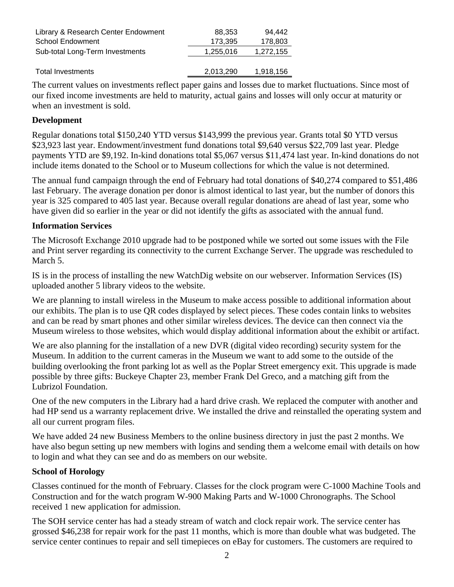| Library & Research Center Endowment | 88.353    | 94.442    |
|-------------------------------------|-----------|-----------|
| <b>School Endowment</b>             | 173.395   | 178,803   |
| Sub-total Long-Term Investments     | 1,255,016 | 1,272,155 |
|                                     |           |           |
| <b>Total Investments</b>            | 2,013,290 | 1,918,156 |

The current values on investments reflect paper gains and losses due to market fluctuations. Since most of our fixed income investments are held to maturity, actual gains and losses will only occur at maturity or when an investment is sold.

### **Development**

Regular donations total \$150,240 YTD versus \$143,999 the previous year. Grants total \$0 YTD versus \$23,923 last year. Endowment/investment fund donations total \$9,640 versus \$22,709 last year. Pledge payments YTD are \$9,192. In-kind donations total \$5,067 versus \$11,474 last year. In-kind donations do not include items donated to the School or to Museum collections for which the value is not determined.

The annual fund campaign through the end of February had total donations of \$40,274 compared to \$51,486 last February. The average donation per donor is almost identical to last year, but the number of donors this year is 325 compared to 405 last year. Because overall regular donations are ahead of last year, some who have given did so earlier in the year or did not identify the gifts as associated with the annual fund.

### **Information Services**

The Microsoft Exchange 2010 upgrade had to be postponed while we sorted out some issues with the File and Print server regarding its connectivity to the current Exchange Server. The upgrade was rescheduled to March 5.

IS is in the process of installing the new WatchDig website on our webserver. Information Services (IS) uploaded another 5 library videos to the website.

We are planning to install wireless in the Museum to make access possible to additional information about our exhibits. The plan is to use QR codes displayed by select pieces. These codes contain links to websites and can be read by smart phones and other similar wireless devices. The device can then connect via the Museum wireless to those websites, which would display additional information about the exhibit or artifact.

We are also planning for the installation of a new DVR (digital video recording) security system for the Museum. In addition to the current cameras in the Museum we want to add some to the outside of the building overlooking the front parking lot as well as the Poplar Street emergency exit. This upgrade is made possible by three gifts: Buckeye Chapter 23, member Frank Del Greco, and a matching gift from the Lubrizol Foundation.

One of the new computers in the Library had a hard drive crash. We replaced the computer with another and had HP send us a warranty replacement drive. We installed the drive and reinstalled the operating system and all our current program files.

We have added 24 new Business Members to the online business directory in just the past 2 months. We have also begun setting up new members with logins and sending them a welcome email with details on how to login and what they can see and do as members on our website.

### **School of Horology**

Classes continued for the month of February. Classes for the clock program were C-1000 Machine Tools and Construction and for the watch program W-900 Making Parts and W-1000 Chronographs. The School received 1 new application for admission.

The SOH service center has had a steady stream of watch and clock repair work. The service center has grossed \$46,238 for repair work for the past 11 months, which is more than double what was budgeted. The service center continues to repair and sell timepieces on eBay for customers. The customers are required to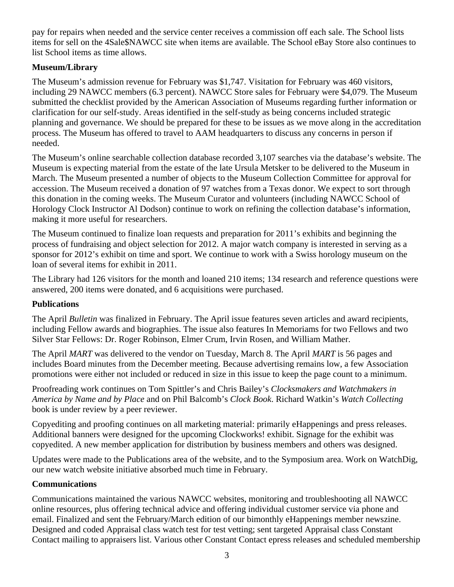pay for repairs when needed and the service center receives a commission off each sale. The School lists items for sell on the 4Sale\$NAWCC site when items are available. The School eBay Store also continues to list School items as time allows.

## **Museum/Library**

The Museum's admission revenue for February was \$1,747. Visitation for February was 460 visitors, including 29 NAWCC members (6.3 percent). NAWCC Store sales for February were \$4,079. The Museum submitted the checklist provided by the American Association of Museums regarding further information or clarification for our self-study. Areas identified in the self-study as being concerns included strategic planning and governance. We should be prepared for these to be issues as we move along in the accreditation process. The Museum has offered to travel to AAM headquarters to discuss any concerns in person if needed.

The Museum's online searchable collection database recorded 3,107 searches via the database's website. The Museum is expecting material from the estate of the late Ursula Metsker to be delivered to the Museum in March. The Museum presented a number of objects to the Museum Collection Committee for approval for accession. The Museum received a donation of 97 watches from a Texas donor. We expect to sort through this donation in the coming weeks. The Museum Curator and volunteers (including NAWCC School of Horology Clock Instructor Al Dodson) continue to work on refining the collection database's information, making it more useful for researchers.

The Museum continued to finalize loan requests and preparation for 2011's exhibits and beginning the process of fundraising and object selection for 2012. A major watch company is interested in serving as a sponsor for 2012's exhibit on time and sport. We continue to work with a Swiss horology museum on the loan of several items for exhibit in 2011.

The Library had 126 visitors for the month and loaned 210 items; 134 research and reference questions were answered, 200 items were donated, and 6 acquisitions were purchased.

### **Publications**

The April *Bulletin* was finalized in February. The April issue features seven articles and award recipients, including Fellow awards and biographies. The issue also features In Memoriams for two Fellows and two Silver Star Fellows: Dr. Roger Robinson, Elmer Crum, Irvin Rosen, and William Mather.

The April *MART* was delivered to the vendor on Tuesday, March 8. The April *MART* is 56 pages and includes Board minutes from the December meeting. Because advertising remains low, a few Association promotions were either not included or reduced in size in this issue to keep the page count to a minimum.

Proofreading work continues on Tom Spittler's and Chris Bailey's *Clocksmakers and Watchmakers in America by Name and by Place* and on Phil Balcomb's *Clock Book*. Richard Watkin's *Watch Collecting* book is under review by a peer reviewer.

Copyediting and proofing continues on all marketing material: primarily eHappenings and press releases. Additional banners were designed for the upcoming Clockworks! exhibit. Signage for the exhibit was copyedited. A new member application for distribution by business members and others was designed.

Updates were made to the Publications area of the website, and to the Symposium area. Work on WatchDig, our new watch website initiative absorbed much time in February.

### **Communications**

Communications maintained the various NAWCC websites, monitoring and troubleshooting all NAWCC online resources, plus offering technical advice and offering individual customer service via phone and email. Finalized and sent the February/March edition of our bimonthly eHappenings member newszine. Designed and coded Appraisal class watch test for test vetting; sent targeted Appraisal class Constant Contact mailing to appraisers list. Various other Constant Contact epress releases and scheduled membership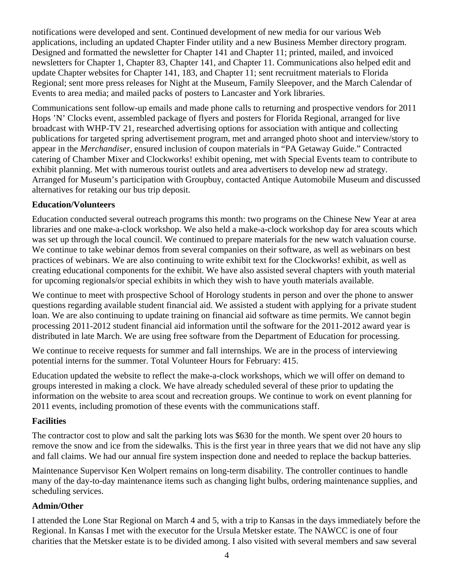notifications were developed and sent. Continued development of new media for our various Web applications, including an updated Chapter Finder utility and a new Business Member directory program. Designed and formatted the newsletter for Chapter 141 and Chapter 11; printed, mailed, and invoiced newsletters for Chapter 1, Chapter 83, Chapter 141, and Chapter 11. Communications also helped edit and update Chapter websites for Chapter 141, 183, and Chapter 11; sent recruitment materials to Florida Regional; sent more press releases for Night at the Museum, Family Sleepover, and the March Calendar of Events to area media; and mailed packs of posters to Lancaster and York libraries.

Communications sent follow-up emails and made phone calls to returning and prospective vendors for 2011 Hops 'N' Clocks event, assembled package of flyers and posters for Florida Regional, arranged for live broadcast with WHP-TV 21, researched advertising options for association with antique and collecting publications for targeted spring advertisement program, met and arranged photo shoot and interview/story to appear in the *Merchandiser*, ensured inclusion of coupon materials in "PA Getaway Guide." Contracted catering of Chamber Mixer and Clockworks! exhibit opening, met with Special Events team to contribute to exhibit planning. Met with numerous tourist outlets and area advertisers to develop new ad strategy. Arranged for Museum's participation with Groupbuy, contacted Antique Automobile Museum and discussed alternatives for retaking our bus trip deposit.

### **Education/Volunteers**

Education conducted several outreach programs this month: two programs on the Chinese New Year at area libraries and one make-a-clock workshop. We also held a make-a-clock workshop day for area scouts which was set up through the local council. We continued to prepare materials for the new watch valuation course. We continue to take webinar demos from several companies on their software, as well as webinars on best practices of webinars. We are also continuing to write exhibit text for the Clockworks! exhibit, as well as creating educational components for the exhibit. We have also assisted several chapters with youth material for upcoming regionals/or special exhibits in which they wish to have youth materials available.

We continue to meet with prospective School of Horology students in person and over the phone to answer questions regarding available student financial aid. We assisted a student with applying for a private student loan. We are also continuing to update training on financial aid software as time permits. We cannot begin processing 2011-2012 student financial aid information until the software for the 2011-2012 award year is distributed in late March. We are using free software from the Department of Education for processing.

We continue to receive requests for summer and fall internships. We are in the process of interviewing potential interns for the summer. Total Volunteer Hours for February: 415.

Education updated the website to reflect the make-a-clock workshops, which we will offer on demand to groups interested in making a clock. We have already scheduled several of these prior to updating the information on the website to area scout and recreation groups. We continue to work on event planning for 2011 events, including promotion of these events with the communications staff.

### **Facilities**

The contractor cost to plow and salt the parking lots was \$630 for the month. We spent over 20 hours to remove the snow and ice from the sidewalks. This is the first year in three years that we did not have any slip and fall claims. We had our annual fire system inspection done and needed to replace the backup batteries.

Maintenance Supervisor Ken Wolpert remains on long-term disability. The controller continues to handle many of the day-to-day maintenance items such as changing light bulbs, ordering maintenance supplies, and scheduling services.

## **Admin/Other**

I attended the Lone Star Regional on March 4 and 5, with a trip to Kansas in the days immediately before the Regional. In Kansas I met with the executor for the Ursula Metsker estate. The NAWCC is one of four charities that the Metsker estate is to be divided among. I also visited with several members and saw several